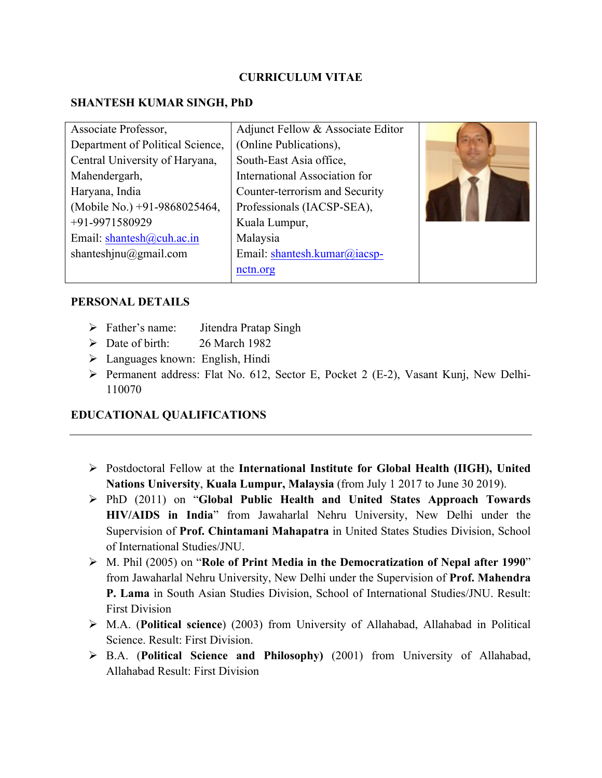#### **CURRICULUM VITAE**

#### **SHANTESH KUMAR SINGH, PhD**

| Associate Professor,             | Adjunct Fellow & Associate Editor |  |
|----------------------------------|-----------------------------------|--|
| Department of Political Science, | (Online Publications),            |  |
| Central University of Haryana,   | South-East Asia office,           |  |
| Mahendergarh,                    | International Association for     |  |
| Haryana, India                   | Counter-terrorism and Security    |  |
| (Mobile No.) +91-9868025464,     | Professionals (IACSP-SEA),        |  |
| +91-9971580929                   | Kuala Lumpur,                     |  |
| Email: shantesh@cuh.ac.in        | Malaysia                          |  |
| shanteshinu@gmail.com            | Email: shantesh.kumar@iacsp-      |  |
|                                  | nctn.org                          |  |

#### **PERSONAL DETAILS**

- Ø Father's name: Jitendra Pratap Singh
- $\triangleright$  Date of birth: 26 March 1982
- $\triangleright$  Languages known: English, Hindi
- Ø Permanent address: Flat No. 612, Sector E, Pocket 2 (E-2), Vasant Kunj, New Delhi-110070

## **EDUCATIONAL QUALIFICATIONS**

- Ø Postdoctoral Fellow at the **International Institute for Global Health (IIGH), United Nations University**, **Kuala Lumpur, Malaysia** (from July 1 2017 to June 30 2019).
- Ø PhD (2011) on "**Global Public Health and United States Approach Towards HIV/AIDS in India**" from Jawaharlal Nehru University, New Delhi under the Supervision of **Prof. Chintamani Mahapatra** in United States Studies Division, School of International Studies/JNU.
- Ø M. Phil (2005) on "**Role of Print Media in the Democratization of Nepal after 1990**" from Jawaharlal Nehru University, New Delhi under the Supervision of **Prof. Mahendra P. Lama** in South Asian Studies Division, School of International Studies/JNU. Result: First Division
- Ø M.A. (**Political science**) (2003) from University of Allahabad, Allahabad in Political Science. Result: First Division.
- Ø B.A. (**Political Science and Philosophy)** (2001) from University of Allahabad, Allahabad Result: First Division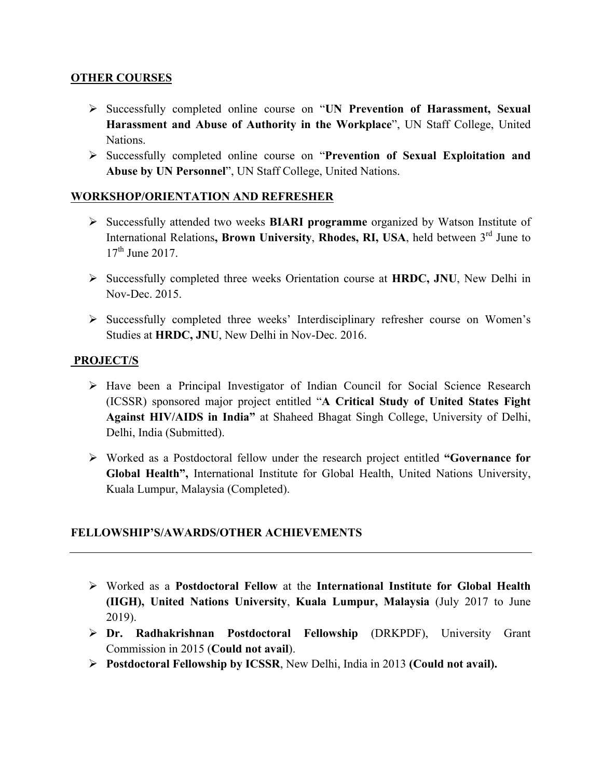#### **OTHER COURSES**

- Ø Successfully completed online course on "**UN Prevention of Harassment, Sexual Harassment and Abuse of Authority in the Workplace**", UN Staff College, United Nations.
- Ø Successfully completed online course on "**Prevention of Sexual Exploitation and Abuse by UN Personnel**", UN Staff College, United Nations.

## **WORKSHOP/ORIENTATION AND REFRESHER**

- Ø Successfully attended two weeks **BIARI programme** organized by Watson Institute of International Relations, Brown University, Rhodes, RI, USA, held between 3<sup>rd</sup> June to  $17<sup>th</sup>$  June 2017.
- Ø Successfully completed three weeks Orientation course at **HRDC, JNU**, New Delhi in Nov-Dec. 2015.
- Ø Successfully completed three weeks' Interdisciplinary refresher course on Women's Studies at **HRDC, JNU**, New Delhi in Nov-Dec. 2016.

## **PROJECT/S**

- Ø Have been a Principal Investigator of Indian Council for Social Science Research (ICSSR) sponsored major project entitled "**A Critical Study of United States Fight Against HIV/AIDS in India"** at Shaheed Bhagat Singh College, University of Delhi, Delhi, India (Submitted).
- Ø Worked as a Postdoctoral fellow under the research project entitled **"Governance for Global Health",** International Institute for Global Health, United Nations University, Kuala Lumpur, Malaysia (Completed).

## **FELLOWSHIP'S/AWARDS/OTHER ACHIEVEMENTS**

- Ø Worked as a **Postdoctoral Fellow** at the **International Institute for Global Health (IIGH), United Nations University**, **Kuala Lumpur, Malaysia** (July 2017 to June 2019).
- Ø **Dr. Radhakrishnan Postdoctoral Fellowship** (DRKPDF), University Grant Commission in 2015 (**Could not avail**).
- Ø **Postdoctoral Fellowship by ICSSR**, New Delhi, India in 2013 **(Could not avail).**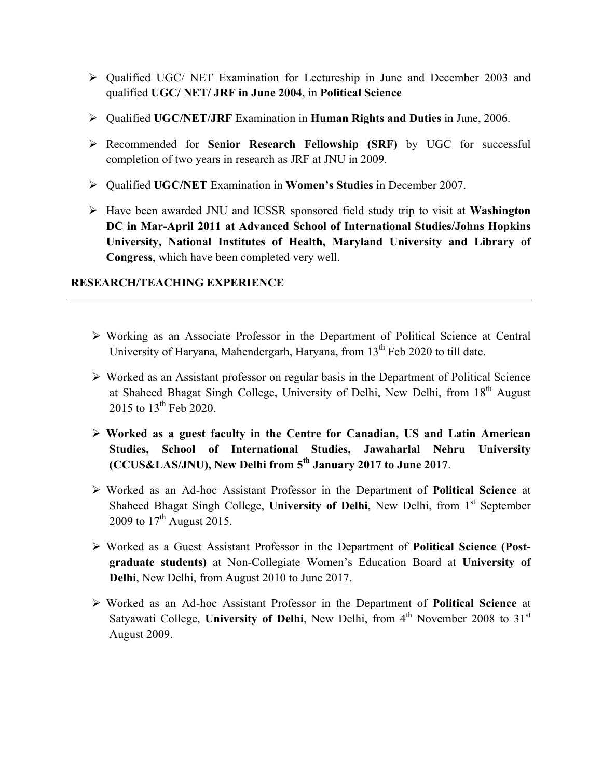- Ø Qualified UGC/ NET Examination for Lectureship in June and December 2003 and qualified **UGC/ NET/ JRF in June 2004**, in **Political Science**
- Ø Qualified **UGC/NET/JRF** Examination in **Human Rights and Duties** in June, 2006.
- Ø Recommended for **Senior Research Fellowship (SRF)** by UGC for successful completion of two years in research as JRF at JNU in 2009.
- Ø Qualified **UGC/NET** Examination in **Women's Studies** in December 2007.
- Ø Have been awarded JNU and ICSSR sponsored field study trip to visit at **Washington DC in Mar-April 2011 at Advanced School of International Studies/Johns Hopkins University, National Institutes of Health, Maryland University and Library of Congress**, which have been completed very well.

## **RESEARCH/TEACHING EXPERIENCE**

- Ø Working as an Associate Professor in the Department of Political Science at Central University of Haryana, Mahendergarh, Haryana, from  $13<sup>th</sup>$  Feb 2020 to till date.
- Ø Worked as an Assistant professor on regular basis in the Department of Political Science at Shaheed Bhagat Singh College, University of Delhi, New Delhi, from 18<sup>th</sup> August 2015 to  $13^{th}$  Feb 2020.
- Ø **Worked as a guest faculty in the Centre for Canadian, US and Latin American Studies, School of International Studies, Jawaharlal Nehru University (CCUS&LAS/JNU), New Delhi from 5th January 2017 to June 2017**.
- Ø Worked as an Ad-hoc Assistant Professor in the Department of **Political Science** at Shaheed Bhagat Singh College, **University of Delhi**, New Delhi, from 1<sup>st</sup> September 2009 to  $17^{th}$  August 2015.
- Ø Worked as a Guest Assistant Professor in the Department of **Political Science (Postgraduate students)** at Non-Collegiate Women's Education Board at **University of Delhi**, New Delhi, from August 2010 to June 2017.
- Ø Worked as an Ad-hoc Assistant Professor in the Department of **Political Science** at Satyawati College, **University of Delhi**, New Delhi, from 4<sup>th</sup> November 2008 to 31<sup>st</sup> August 2009.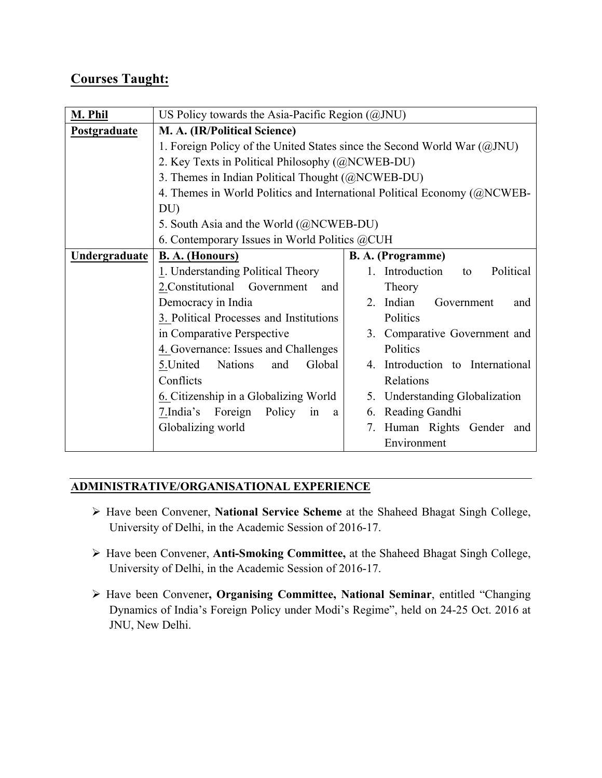# **Courses Taught:**

| M. Phil       | US Policy towards the Asia-Pacific Region (@JNU)                           |                                               |  |  |  |
|---------------|----------------------------------------------------------------------------|-----------------------------------------------|--|--|--|
| Postgraduate  | M. A. (IR/Political Science)                                               |                                               |  |  |  |
|               | 1. Foreign Policy of the United States since the Second World War $(QJNU)$ |                                               |  |  |  |
|               | 2. Key Texts in Political Philosophy (@NCWEB-DU)                           |                                               |  |  |  |
|               | 3. Themes in Indian Political Thought (@NCWEB-DU)                          |                                               |  |  |  |
|               | 4. Themes in World Politics and International Political Economy (@NCWEB-   |                                               |  |  |  |
|               | DU                                                                         |                                               |  |  |  |
|               | 5. South Asia and the World (@NCWEB-DU)                                    |                                               |  |  |  |
|               | 6. Contemporary Issues in World Politics @CUH                              |                                               |  |  |  |
| Undergraduate | <b>B. A. (Honours)</b>                                                     | <b>B. A.</b> (Programme)                      |  |  |  |
|               | 1. Understanding Political Theory                                          | 1. Introduction<br>Political<br>to            |  |  |  |
|               | 2. Constitutional Government<br>and                                        | Theory                                        |  |  |  |
|               | Democracy in India                                                         | Indian<br>2 <sub>1</sub><br>Government<br>and |  |  |  |
|               | 3. Political Processes and Institutions                                    | Politics                                      |  |  |  |
|               | in Comparative Perspective                                                 | 3. Comparative Government and                 |  |  |  |
|               | 4. Governance: Issues and Challenges                                       | Politics                                      |  |  |  |
|               | <b>Nations</b><br>Global<br>5. United<br>and                               | 4. Introduction to International              |  |  |  |
|               | Conflicts                                                                  | Relations                                     |  |  |  |
|               | 6. Citizenship in a Globalizing World                                      | Understanding Globalization<br>5.             |  |  |  |
|               | 7.India's Foreign<br>Policy<br>in<br>a                                     | Reading Gandhi<br>6.                          |  |  |  |
|               | Globalizing world                                                          | Human Rights Gender and<br>7.                 |  |  |  |
|               |                                                                            | Environment                                   |  |  |  |

## **ADMINISTRATIVE/ORGANISATIONAL EXPERIENCE**

- Ø Have been Convener, **National Service Scheme** at the Shaheed Bhagat Singh College, University of Delhi, in the Academic Session of 2016-17.
- Ø Have been Convener, **Anti-Smoking Committee,** at the Shaheed Bhagat Singh College, University of Delhi, in the Academic Session of 2016-17.
- Ø Have been Convener**, Organising Committee, National Seminar**, entitled "Changing Dynamics of India's Foreign Policy under Modi's Regime", held on 24-25 Oct. 2016 at JNU, New Delhi.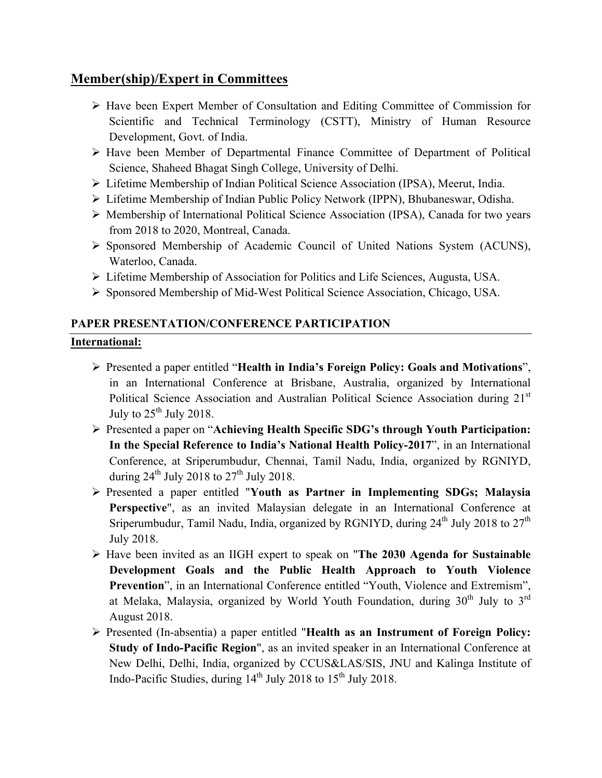## **Member(ship)/Expert in Committees**

- Ø Have been Expert Member of Consultation and Editing Committee of Commission for Scientific and Technical Terminology (CSTT), Ministry of Human Resource Development, Govt. of India.
- Ø Have been Member of Departmental Finance Committee of Department of Political Science, Shaheed Bhagat Singh College, University of Delhi.
- Ø Lifetime Membership of Indian Political Science Association (IPSA), Meerut, India.
- Ø Lifetime Membership of Indian Public Policy Network (IPPN), Bhubaneswar, Odisha.
- Ø Membership of International Political Science Association (IPSA), Canada for two years from 2018 to 2020, Montreal, Canada.
- Ø Sponsored Membership of Academic Council of United Nations System (ACUNS), Waterloo, Canada.
- Ø Lifetime Membership of Association for Politics and Life Sciences, Augusta, USA.
- Ø Sponsored Membership of Mid-West Political Science Association, Chicago, USA.

## **PAPER PRESENTATION/CONFERENCE PARTICIPATION International:**

- Ø Presented a paper entitled "**Health in India's Foreign Policy: Goals and Motivations**", in an International Conference at Brisbane, Australia, organized by International Political Science Association and Australian Political Science Association during 21<sup>st</sup> July to  $25^{th}$  July 2018.
- Ø Presented a paper on "**Achieving Health Specific SDG's through Youth Participation: In the Special Reference to India's National Health Policy-2017**", in an International Conference, at Sriperumbudur, Chennai, Tamil Nadu, India, organized by RGNIYD, during  $24^{\text{th}}$  July 2018 to  $27^{\text{th}}$  July 2018.
- Ø Presented a paper entitled "**Youth as Partner in Implementing SDGs; Malaysia Perspective**", as an invited Malaysian delegate in an International Conference at Sriperumbudur, Tamil Nadu, India, organized by RGNIYD, during  $24<sup>th</sup>$  July 2018 to  $27<sup>th</sup>$ July 2018.
- Ø Have been invited as an IIGH expert to speak on "**The 2030 Agenda for Sustainable Development Goals and the Public Health Approach to Youth Violence Prevention**", in an International Conference entitled "Youth, Violence and Extremism", at Melaka, Malaysia, organized by World Youth Foundation, during  $30<sup>th</sup>$  July to  $3<sup>rd</sup>$ August 2018.
- Ø Presented (In-absentia) a paper entitled "**Health as an Instrument of Foreign Policy: Study of Indo-Pacific Region**", as an invited speaker in an International Conference at New Delhi, Delhi, India, organized by CCUS&LAS/SIS, JNU and Kalinga Institute of Indo-Pacific Studies, during  $14<sup>th</sup>$  July 2018 to  $15<sup>th</sup>$  July 2018.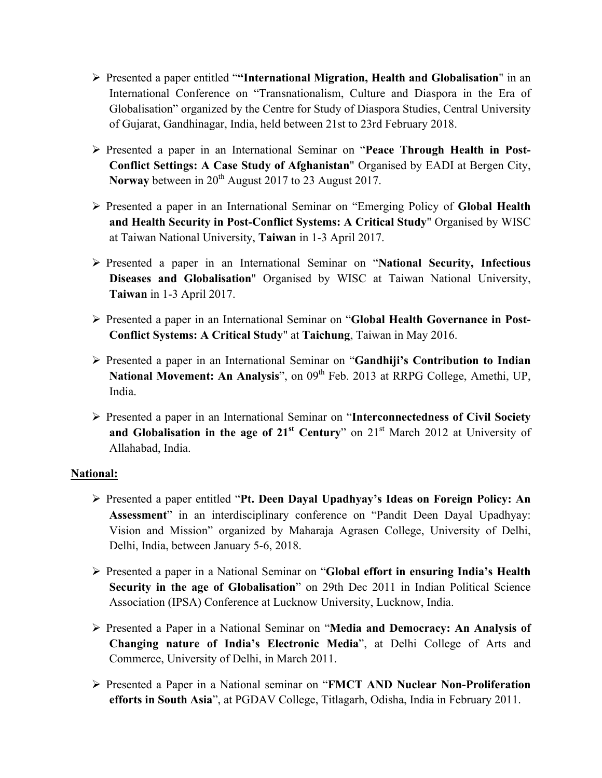- Ø Presented a paper entitled "**"International Migration, Health and Globalisation**" in an International Conference on "Transnationalism, Culture and Diaspora in the Era of Globalisation" organized by the Centre for Study of Diaspora Studies, Central University of Gujarat, Gandhinagar, India, held between 21st to 23rd February 2018.
- Ø Presented a paper in an International Seminar on "**Peace Through Health in Post-Conflict Settings: A Case Study of Afghanistan**" Organised by EADI at Bergen City, **Norway** between in 20<sup>th</sup> August 2017 to 23 August 2017.
- Ø Presented a paper in an International Seminar on "Emerging Policy of **Global Health and Health Security in Post-Conflict Systems: A Critical Study**" Organised by WISC at Taiwan National University, **Taiwan** in 1-3 April 2017.
- Ø Presented a paper in an International Seminar on "**National Security, Infectious Diseases and Globalisation**" Organised by WISC at Taiwan National University, **Taiwan** in 1-3 April 2017.
- Ø Presented a paper in an International Seminar on "**Global Health Governance in Post-Conflict Systems: A Critical Study**" at **Taichung**, Taiwan in May 2016.
- Ø Presented a paper in an International Seminar on "**Gandhiji's Contribution to Indian National Movement: An Analysis**", on 09<sup>th</sup> Feb. 2013 at RRPG College, Amethi, UP, India.
- Ø Presented a paper in an International Seminar on "**Interconnectedness of Civil Society and Globalisation in the age of 21st Century**" on 21st March 2012 at University of Allahabad, India.

## **National:**

- Ø Presented a paper entitled "**Pt. Deen Dayal Upadhyay's Ideas on Foreign Policy: An Assessment**" in an interdisciplinary conference on "Pandit Deen Dayal Upadhyay: Vision and Mission" organized by Maharaja Agrasen College, University of Delhi, Delhi, India, between January 5-6, 2018.
- Ø Presented a paper in a National Seminar on "**Global effort in ensuring India's Health Security in the age of Globalisation**" on 29th Dec 2011 in Indian Political Science Association (IPSA) Conference at Lucknow University, Lucknow, India.
- Ø Presented a Paper in a National Seminar on "**Media and Democracy: An Analysis of Changing nature of India's Electronic Media**", at Delhi College of Arts and Commerce, University of Delhi, in March 2011.
- Ø Presented a Paper in a National seminar on "**FMCT AND Nuclear Non-Proliferation efforts in South Asia**", at PGDAV College, Titlagarh, Odisha, India in February 2011.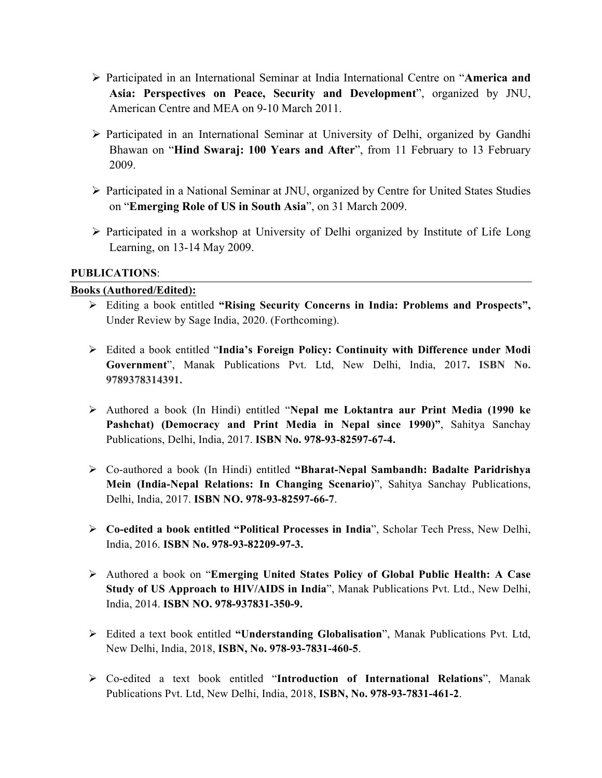- Ø Participated in an International Seminar at India International Centre on "**America and Asia: Perspectives on Peace, Security and Development**", organized by JNU, American Centre and MEA on 9-10 March 2011.
- Ø Participated in an International Seminar at University of Delhi, organized by Gandhi Bhawan on "**Hind Swaraj: 100 Years and After**", from 11 February to 13 February 2009.
- Ø Participated in a National Seminar at JNU, organized by Centre for United States Studies on "**Emerging Role of US in South Asia**", on 31 March 2009.
- $\triangleright$  Participated in a workshop at University of Delhi organized by Institute of Life Long Learning, on 13-14 May 2009.

#### **PUBLICATIONS**:

#### **Books (Authored/Edited):**

- Ø Editing a book entitled **"Rising Security Concerns in India: Problems and Prospects",**  Under Review by Sage India, 2020. (Forthcoming).
- Ø Edited a book entitled "**India's Foreign Policy: Continuity with Difference under Modi Government**", Manak Publications Pvt. Ltd, New Delhi, India, 2017**. ISBN No. 9789378314391.**
- Ø Authored a book (In Hindi) entitled "**Nepal me Loktantra aur Print Media (1990 ke Pashchat) (Democracy and Print Media in Nepal since 1990)"**, Sahitya Sanchay Publications, Delhi, India, 2017. **ISBN No. 978-93-82597-67-4.**
- Ø Co-authored a book (In Hindi) entitled **"Bharat-Nepal Sambandh: Badalte Paridrishya Mein (India-Nepal Relations: In Changing Scenario)**", Sahitya Sanchay Publications, Delhi, India, 2017. **ISBN NO. 978-93-82597-66-7**.
- Ø **Co-edited a book entitled "Political Processes in India**", Scholar Tech Press, New Delhi, India, 2016. **ISBN No. 978-93-82209-97-3.**
- Ø Authored a book on "**Emerging United States Policy of Global Public Health: A Case Study of US Approach to HIV/AIDS in India**", Manak Publications Pvt. Ltd., New Delhi, India, 2014. **ISBN NO. 978-937831-350-9.**
- Ø Edited a text book entitled **"Understanding Globalisation**", Manak Publications Pvt. Ltd, New Delhi, India, 2018, **ISBN, No. 978-93-7831-460-5**.
- Ø Co-edited a text book entitled "**Introduction of International Relations**", Manak Publications Pvt. Ltd, New Delhi, India, 2018, **ISBN, No. 978-93-7831-461-2**.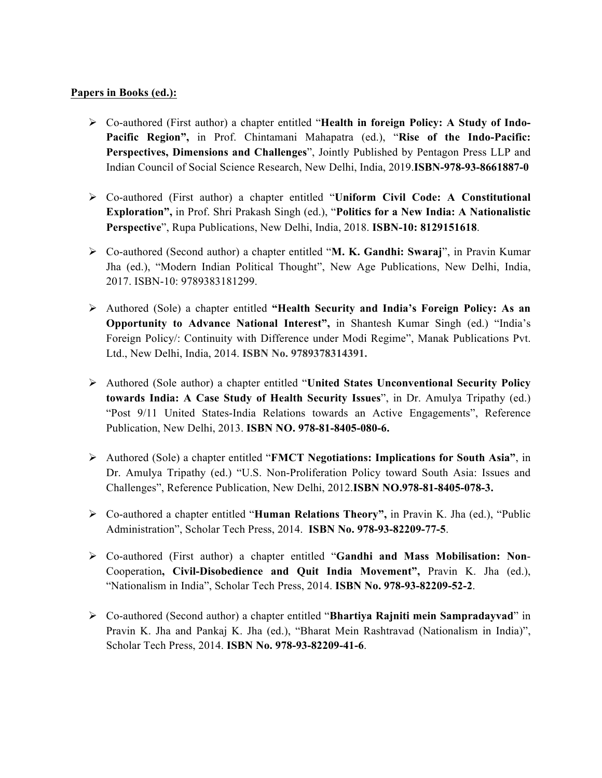#### **Papers in Books (ed.):**

- Ø Co-authored (First author) a chapter entitled "**Health in foreign Policy: A Study of Indo-Pacific Region",** in Prof. Chintamani Mahapatra (ed.), "**Rise of the Indo-Pacific: Perspectives, Dimensions and Challenges**", Jointly Published by Pentagon Press LLP and Indian Council of Social Science Research, New Delhi, India, 2019.**ISBN-978-93-8661887-0**
- Ø Co-authored (First author) a chapter entitled "**Uniform Civil Code: A Constitutional Exploration",** in Prof. Shri Prakash Singh (ed.), "**Politics for a New India: A Nationalistic Perspective**", Rupa Publications, New Delhi, India, 2018. **ISBN-10: 8129151618**.
- Ø Co-authored (Second author) a chapter entitled "**M. K. Gandhi: Swaraj**", in Pravin Kumar Jha (ed.), "Modern Indian Political Thought", New Age Publications, New Delhi, India, 2017. ISBN-10: 9789383181299.
- Ø Authored (Sole) a chapter entitled **"Health Security and India's Foreign Policy: As an Opportunity to Advance National Interest",** in Shantesh Kumar Singh (ed.) "India's Foreign Policy/: Continuity with Difference under Modi Regime", Manak Publications Pvt. Ltd., New Delhi, India, 2014. **ISBN No. 9789378314391.**
- Ø Authored (Sole author) a chapter entitled "**United States Unconventional Security Policy towards India: A Case Study of Health Security Issues**", in Dr. Amulya Tripathy (ed.) "Post 9/11 United States-India Relations towards an Active Engagements", Reference Publication, New Delhi, 2013. **ISBN NO. 978-81-8405-080-6.**
- Ø Authored (Sole) a chapter entitled "**FMCT Negotiations: Implications for South Asia"**, in Dr. Amulya Tripathy (ed.) "U.S. Non-Proliferation Policy toward South Asia: Issues and Challenges", Reference Publication, New Delhi, 2012.**ISBN NO.978-81-8405-078-3.**
- Ø Co-authored a chapter entitled "**Human Relations Theory",** in Pravin K. Jha (ed.), "Public Administration", Scholar Tech Press, 2014. **ISBN No. 978-93-82209-77-5**.
- Ø Co-authored (First author) a chapter entitled "**Gandhi and Mass Mobilisation: Non**-Cooperation**, Civil-Disobedience and Quit India Movement",** Pravin K. Jha (ed.), "Nationalism in India", Scholar Tech Press, 2014. **ISBN No. 978-93-82209-52-2**.
- Ø Co-authored (Second author) a chapter entitled "**Bhartiya Rajniti mein Sampradayvad**" in Pravin K. Jha and Pankaj K. Jha (ed.), "Bharat Mein Rashtravad (Nationalism in India)", Scholar Tech Press, 2014. **ISBN No. 978-93-82209-41-6**.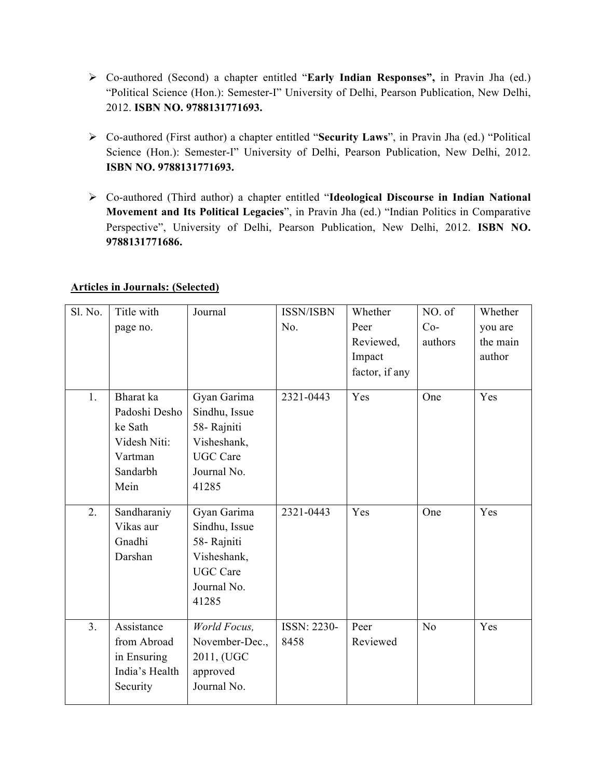- Ø Co-authored (Second) a chapter entitled "**Early Indian Responses",** in Pravin Jha (ed.) "Political Science (Hon.): Semester-I" University of Delhi, Pearson Publication, New Delhi, 2012. **ISBN NO. 9788131771693.**
- Ø Co-authored (First author) a chapter entitled "**Security Laws**", in Pravin Jha (ed.) "Political Science (Hon.): Semester-I" University of Delhi, Pearson Publication, New Delhi, 2012. **ISBN NO. 9788131771693.**
- Ø Co-authored (Third author) a chapter entitled "**Ideological Discourse in Indian National Movement and Its Political Legacies**", in Pravin Jha (ed.) "Indian Politics in Comparative Perspective", University of Delhi, Pearson Publication, New Delhi, 2012. **ISBN NO. 9788131771686.**

|  | <b>Articles in Journals: (Selected)</b> |
|--|-----------------------------------------|
|  |                                         |

| Sl. No.        | Title with<br>page no.                                                               | Journal                                                                                               | <b>ISSN/ISBN</b><br>No. | Whether<br>Peer<br>Reviewed,<br>Impact<br>factor, if any | NO. of<br>$Co-$<br>authors | Whether<br>you are<br>the main<br>author |
|----------------|--------------------------------------------------------------------------------------|-------------------------------------------------------------------------------------------------------|-------------------------|----------------------------------------------------------|----------------------------|------------------------------------------|
| 1.             | Bharat ka<br>Padoshi Desho<br>ke Sath<br>Videsh Niti:<br>Vartman<br>Sandarbh<br>Mein | Gyan Garima<br>Sindhu, Issue<br>58- Rajniti<br>Visheshank,<br><b>UGC</b> Care<br>Journal No.<br>41285 | 2321-0443               | Yes                                                      | One                        | Yes                                      |
| 2.             | Sandharaniy<br>Vikas aur<br>Gnadhi<br>Darshan                                        | Gyan Garima<br>Sindhu, Issue<br>58-Rajniti<br>Visheshank,<br><b>UGC</b> Care<br>Journal No.<br>41285  | 2321-0443               | Yes                                                      | One                        | Yes                                      |
| 3 <sub>1</sub> | Assistance<br>from Abroad<br>in Ensuring<br>India's Health<br>Security               | World Focus,<br>November-Dec.,<br>2011, (UGC<br>approved<br>Journal No.                               | ISSN: 2230-<br>8458     | Peer<br>Reviewed                                         | N <sub>o</sub>             | Yes                                      |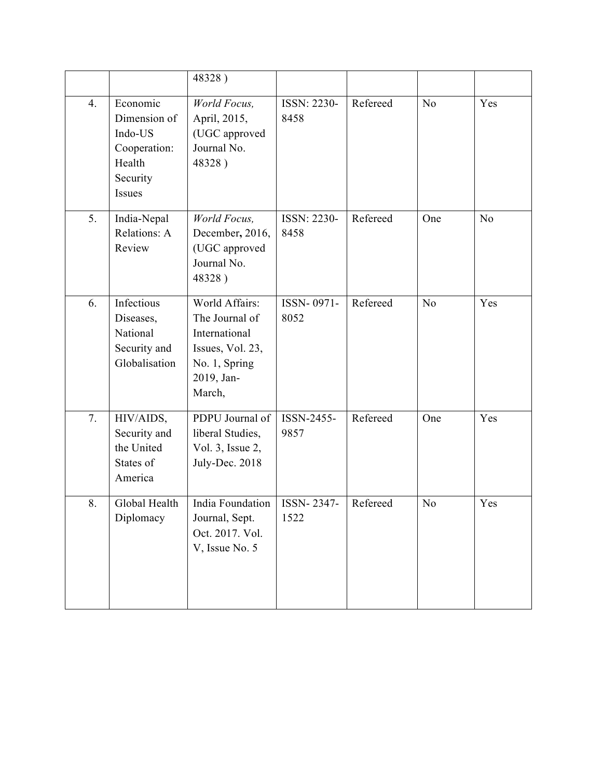|    |                                                                                     | 48328)                                                                                                         |                     |          |                |                |
|----|-------------------------------------------------------------------------------------|----------------------------------------------------------------------------------------------------------------|---------------------|----------|----------------|----------------|
| 4. | Economic<br>Dimension of<br>Indo-US<br>Cooperation:<br>Health<br>Security<br>Issues | World Focus,<br>April, 2015,<br>(UGC approved<br>Journal No.<br>48328)                                         | ISSN: 2230-<br>8458 | Refereed | N <sub>o</sub> | Yes            |
| 5. | India-Nepal<br>Relations: A<br>Review                                               | World Focus,<br>December, 2016,<br>(UGC approved<br>Journal No.<br>48328)                                      | ISSN: 2230-<br>8458 | Refereed | One            | N <sub>o</sub> |
| 6. | Infectious<br>Diseases,<br>National<br>Security and<br>Globalisation                | World Affairs:<br>The Journal of<br>International<br>Issues, Vol. 23,<br>No. 1, Spring<br>2019, Jan-<br>March, | ISSN-0971-<br>8052  | Refereed | N <sub>o</sub> | Yes            |
| 7. | HIV/AIDS,<br>Security and<br>the United<br>States of<br>America                     | PDPU Journal of<br>liberal Studies,<br>Vol. 3, Issue 2,<br>July-Dec. 2018                                      | ISSN-2455-<br>9857  | Refereed | One            | Yes            |
| 8. | Global Health<br>Diplomacy                                                          | India Foundation<br>Journal, Sept.<br>Oct. 2017. Vol.<br>V, Issue No. 5                                        | ISSN-2347-<br>1522  | Refereed | N <sub>o</sub> | Yes            |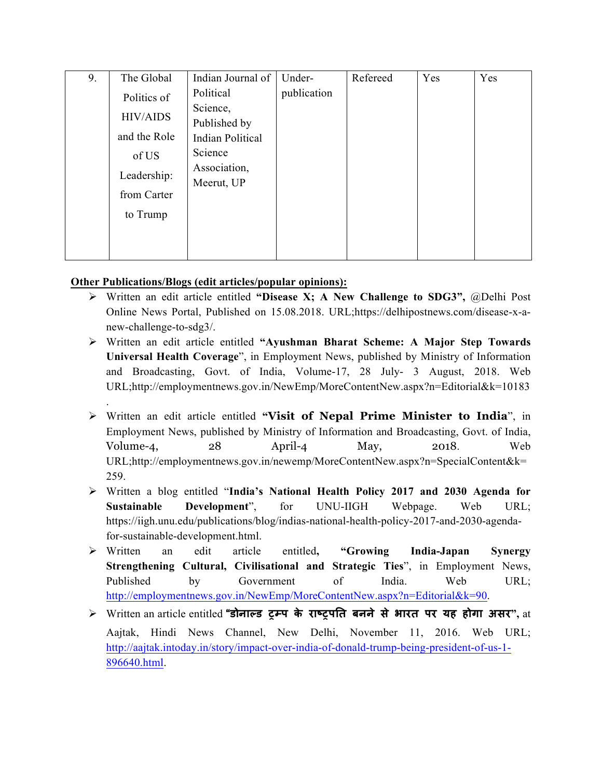| 9. | The Global      | Indian Journal of       | Under-      | Refereed | Yes | Yes |
|----|-----------------|-------------------------|-------------|----------|-----|-----|
|    | Politics of     | Political               | publication |          |     |     |
|    |                 | Science,                |             |          |     |     |
|    | <b>HIV/AIDS</b> | Published by            |             |          |     |     |
|    | and the Role    | <b>Indian Political</b> |             |          |     |     |
|    | of US           | Science                 |             |          |     |     |
|    | Leadership:     | Association,            |             |          |     |     |
|    |                 | Meerut, UP              |             |          |     |     |
|    | from Carter     |                         |             |          |     |     |
|    | to Trump        |                         |             |          |     |     |
|    |                 |                         |             |          |     |     |
|    |                 |                         |             |          |     |     |
|    |                 |                         |             |          |     |     |

#### **Other Publications/Blogs (edit articles/popular opinions):**

.

- Ø Written an edit article entitled **"Disease X; A New Challenge to SDG3",** @Delhi Post Online News Portal, Published on 15.08.2018. URL;https://delhipostnews.com/disease-x-anew-challenge-to-sdg3/.
- Ø Written an edit article entitled **"Ayushman Bharat Scheme: A Major Step Towards Universal Health Coverage**", in Employment News, published by Ministry of Information and Broadcasting, Govt. of India, Volume-17, 28 July- 3 August, 2018. Web URL;http://employmentnews.gov.in/NewEmp/MoreContentNew.aspx?n=Editorial&k=10183
- Ø Written an edit article entitled **"Visit of Nepal Prime Minister to India**", in Employment News, published by Ministry of Information and Broadcasting, Govt. of India, Volume-4, 28 April-4 May, 2018. Web URL;http://employmentnews.gov.in/newemp/MoreContentNew.aspx?n=SpecialContent&k= 259.
- Ø Written a blog entitled "**India's National Health Policy 2017 and 2030 Agenda for Sustainable Development**", for UNU-IIGH Webpage. Web URL; https://iigh.unu.edu/publications/blog/indias-national-health-policy-2017-and-2030-agendafor-sustainable-development.html.
- Ø Written an edit article entitled**, "Growing India-Japan Synergy Strengthening Cultural, Civilisational and Strategic Ties**", in Employment News, Published by Government of India. Web URL; http://employmentnews.gov.in/NewEmp/MoreContentNew.aspx?n=Editorial&k=90.
- Ø Written an article entitled **"डोना&ड ()प के रा.(प/त बनने से भारत पर यह होगा असर",** at Aajtak, Hindi News Channel, New Delhi, November 11, 2016. Web URL; http://aajtak.intoday.in/story/impact-over-india-of-donald-trump-being-president-of-us-1- 896640.html.